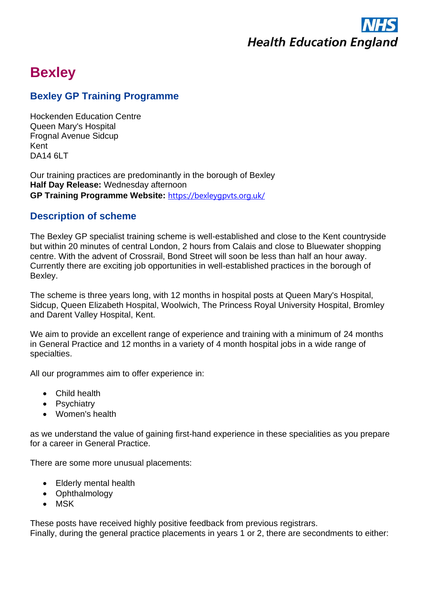

# **Bexley**

# **Bexley GP Training Programme**

Hockenden Education Centre Queen Mary's Hospital Frognal Avenue Sidcup Kent DA14 6LT

Our training practices are predominantly in the borough of Bexley **Half Day Release:** Wednesday afternoon **GP Training Programme Website:** <https://bexleygpvts.org.uk/>

# **Description of scheme**

The Bexley GP specialist training scheme is well-established and close to the Kent countryside but within 20 minutes of central London, 2 hours from Calais and close to Bluewater shopping centre. With the advent of Crossrail, Bond Street will soon be less than half an hour away. Currently there are exciting job opportunities in well-established practices in the borough of Bexley.

The scheme is three years long, with 12 months in hospital posts at Queen Mary's Hospital, Sidcup, Queen Elizabeth Hospital, Woolwich, The Princess Royal University Hospital, Bromley and Darent Valley Hospital, Kent.

We aim to provide an excellent range of experience and training with a minimum of 24 months in General Practice and 12 months in a variety of 4 month hospital jobs in a wide range of specialties.

All our programmes aim to offer experience in:

- Child health
- Psychiatry
- Women's health

as we understand the value of gaining first-hand experience in these specialities as you prepare for a career in General Practice.

There are some more unusual placements:

- Elderly mental health
- Ophthalmology
- MSK

These posts have received highly positive feedback from previous registrars. Finally, during the general practice placements in years 1 or 2, there are secondments to either: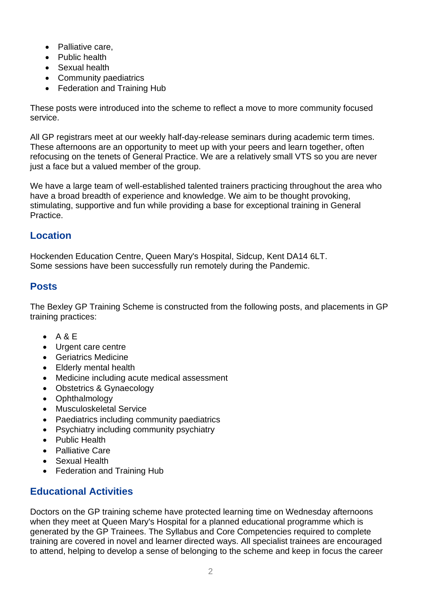- Palliative care,
- Public health
- Sexual health
- Community paediatrics
- Federation and Training Hub

These posts were introduced into the scheme to reflect a move to more community focused service.

All GP registrars meet at our weekly half-day-release seminars during academic term times. These afternoons are an opportunity to meet up with your peers and learn together, often refocusing on the tenets of General Practice. We are a relatively small VTS so you are never just a face but a valued member of the group.

We have a large team of well-established talented trainers practicing throughout the area who have a broad breadth of experience and knowledge. We aim to be thought provoking, stimulating, supportive and fun while providing a base for exceptional training in General Practice.

## **Location**

Hockenden Education Centre, Queen Mary's Hospital, Sidcup, Kent DA14 6LT. Some sessions have been successfully run remotely during the Pandemic.

#### **Posts**

The Bexley GP Training Scheme is constructed from the following posts, and placements in GP training practices:

- $\bullet$  A & E
- Urgent care centre
- Geriatrics Medicine
- Elderly mental health
- Medicine including acute medical assessment
- Obstetrics & Gynaecology
- Ophthalmology
- Musculoskeletal Service
- Paediatrics including community paediatrics
- Psychiatry including community psychiatry
- Public Health
- Palliative Care
- Sexual Health
- Federation and Training Hub

# **Educational Activities**

Doctors on the GP training scheme have protected learning time on Wednesday afternoons when they meet at Queen Mary's Hospital for a planned educational programme which is generated by the GP Trainees. The Syllabus and Core Competencies required to complete training are covered in novel and learner directed ways. All specialist trainees are encouraged to attend, helping to develop a sense of belonging to the scheme and keep in focus the career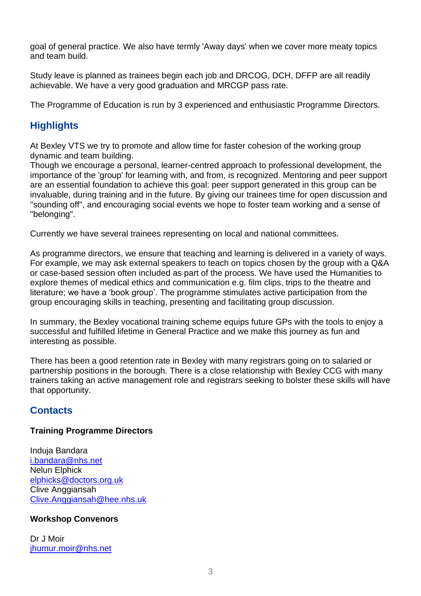goal of general practice. We also have termly 'Away days' when we cover more meaty topics and team build.

Study leave is planned as trainees begin each job and DRCOG, DCH, DFFP are all readily achievable. We have a very good graduation and MRCGP pass rate.

The Programme of Education is run by 3 experienced and enthusiastic Programme Directors.

# **Highlights**

At Bexley VTS we try to promote and allow time for faster cohesion of the working group dynamic and team building.

Though we encourage a personal, learner-centred approach to professional development, the importance of the 'group' for learning with, and from, is recognized. Mentoring and peer support are an essential foundation to achieve this goal: peer support generated in this group can be invaluable, during training and in the future. By giving our trainees time for open discussion and "sounding off", and encouraging social events we hope to foster team working and a sense of "belonging".

Currently we have several trainees representing on local and national committees.

As programme directors, we ensure that teaching and learning is delivered in a variety of ways. For example, we may ask external speakers to teach on topics chosen by the group with a Q&A or case-based session often included as part of the process. We have used the Humanities to explore themes of medical ethics and communication e.g. film clips, trips to the theatre and literature; we have a 'book group'. The programme stimulates active participation from the group encouraging skills in teaching, presenting and facilitating group discussion.

In summary, the Bexley vocational training scheme equips future GPs with the tools to enjoy a successful and fulfilled lifetime in General Practice and we make this journey as fun and interesting as possible.

There has been a good retention rate in Bexley with many registrars going on to salaried or partnership positions in the borough. There is a close relationship with Bexley CCG with many trainers taking an active management role and registrars seeking to bolster these skills will have that opportunity.

## **Contacts**

#### **Training Programme Directors**

Induja Bandara [i.bandara@nhs.net](mailto:i.bandara@nhs.net) Nelun Elphick [elphicks@doctors.org.uk](mailto:elphicks@doctors.org.uk) Clive Anggiansah [Clive.Anggiansah@hee.nhs.uk](mailto:Clive.Anggiansah@hee.nhs.uk)

#### **Workshop Convenors**

Dr J Moir [jhumur.moir@nhs.net](mailto:jhumur.moir@nhs.net)